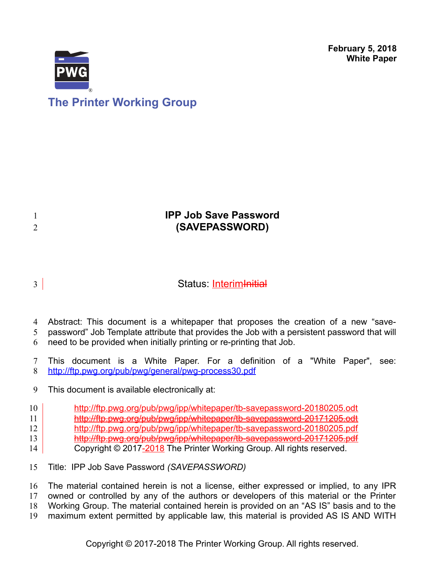**February 5, 2018 White Paper**



1 2

# **The Printer Working Group**

# **IPP Job Save Password (SAVEPASSWORD)**

## Status: Interim <del>Initial</del> 3

Abstract: This document is a whitepaper that proposes the creation of a new "save-4

password" Job Template attribute that provides the Job with a persistent password that will 5

need to be provided when initially printing or re-printing that Job. 6

This document is a White Paper. For a definition of a "White Paper", see: <http://ftp.pwg.org/pub/pwg/general/pwg-process30.pdf> 7 8

This document is available electronically at: 9

<http://ftp.pwg.org/pub/pwg/ipp/whitepaper/tb-savepassword-20180205.odt> 10

<http://ftp.pwg.org/pub/pwg/ipp/whitepaper/tb-savepassword-20171205.odt> 11

<http://ftp.pwg.org/pub/pwg/ipp/whitepaper/tb-savepassword-20180205.pdf> 12

<http://ftp.pwg.org/pub/pwg/ipp/whitepaper/tb-savepassword-20171205.pdf> 13

Copyright © 2017-2018 The Printer Working Group. All rights reserved. 14

Title: IPP Job Save Password *(SAVEPASSWORD)* 15

The material contained herein is not a license, either expressed or implied, to any IPR 16

owned or controlled by any of the authors or developers of this material or the Printer Working Group. The material contained herein is provided on an "AS IS" basis and to the 17 18

maximum extent permitted by applicable law, this material is provided AS IS AND WITH 19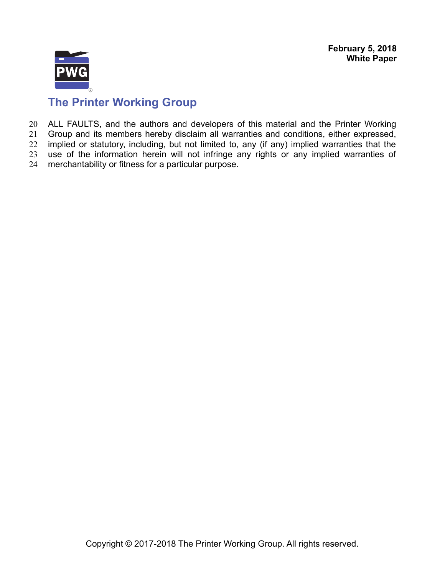**February 5, 2018 White Paper**



# **The Printer Working Group**

ALL FAULTS, and the authors and developers of this material and the Printer Working 20

Group and its members hereby disclaim all warranties and conditions, either expressed, implied or statutory, including, but not limited to, any (if any) implied warranties that the 21 22

use of the information herein will not infringe any rights or any implied warranties of 23

merchantability or fitness for a particular purpose. 24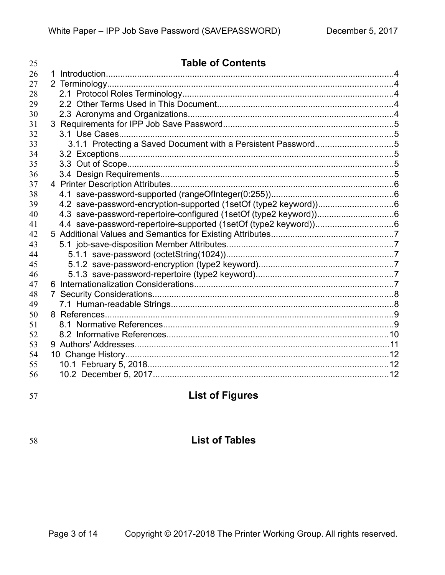| 25 | <b>Table of Contents</b>                                      |  |
|----|---------------------------------------------------------------|--|
| 26 |                                                               |  |
| 27 |                                                               |  |
| 28 |                                                               |  |
| 29 |                                                               |  |
| 30 |                                                               |  |
| 31 |                                                               |  |
| 32 |                                                               |  |
| 33 | 3.1.1 Protecting a Saved Document with a Persistent Password5 |  |
| 34 |                                                               |  |
| 35 |                                                               |  |
| 36 |                                                               |  |
| 37 |                                                               |  |
| 38 |                                                               |  |
| 39 |                                                               |  |
| 40 |                                                               |  |
| 41 |                                                               |  |
| 42 |                                                               |  |
| 43 |                                                               |  |
| 44 |                                                               |  |
| 45 |                                                               |  |
| 46 |                                                               |  |
| 47 |                                                               |  |
| 48 |                                                               |  |
| 49 |                                                               |  |
| 50 |                                                               |  |
| 51 |                                                               |  |
| 52 |                                                               |  |
| 53 |                                                               |  |
| 54 |                                                               |  |
| 55 |                                                               |  |
| 56 |                                                               |  |

57

# **List of Figures**

# 58

# **List of Tables**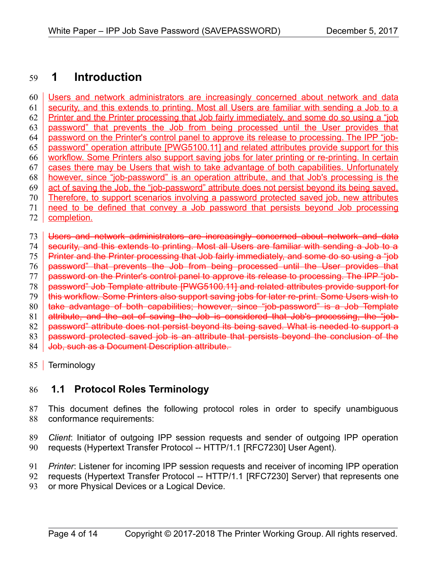### **1 Introduction** 59

Users and network administrators are increasingly concerned about network and data security, and this extends to printing. Most all Users are familiar with sending a Job to a Printer and the Printer processing that Job fairly immediately, and some do so using a "job password" that prevents the Job from being processed until the User provides that password on the Printer's control panel to approve its release to processing. The IPP "jobpassword" operation attribute [\[PWG5100.11\]](#page-10-0) and related attributes provide support for this workflow. Some Printers also support saving jobs for later printing or re-printing. In certain cases there may be Users that wish to take advantage of both capabilities. Unfortunately however, since "job-password" is an operation attribute, and that Job's processing is the act of saving the Job, the "job-password" attribute does not persist beyond its being saved. Therefore, to support scenarios involving a password protected saved job, new attributes need to be defined that convey a Job password that persists beyond Job processing completion. Users and network administrators are increasingly concerned about network and data security, and this extends to printing. Most all Users are familiar with sending a Job to a Printer and the Printer processing that Job fairly immediately, and some do so using a "job" password" that prevents the Job from being processed until the User provides that password on the Printer's control panel to approve its release to processing. The IPP "jobpassword" Job Template attribute [\[PWG5100.11\]](#page-10-0) and related attributes provide support for this workflow. Some Printers also support saving jobs for later re-print. Some Users wish to take advantage of both capabilities; however, since "job-password" is a Job Template attribute, and the act of saving the Job is considered that Job's processing, the "jobpassword" attribute does not persist beyond its being saved. What is needed to support a 60 61 62 63 64 65 66 67 68 69 70 71 72 73 74 75 76 77 78 79 80 81 82

password protected saved job is an attribute that persists beyond the conclusion of the 83

Job, such as a Document Description attribute. 84

85 Terminology

#### **1.1 Protocol Roles Terminology** 86

This document defines the following protocol roles in order to specify unambiguous conformance requirements: 87 88

*Client*: Initiator of outgoing IPP session requests and sender of outgoing IPP operation requests (Hypertext Transfer Protocol -- HTTP/1.1 [\[RFC7230\]](#page-11-0) User Agent). 89 90

*Printer*: Listener for incoming IPP session requests and receiver of incoming IPP operation 91

requests (Hypertext Transfer Protocol -- HTTP/1.1 [\[RFC7230\]](#page-11-0) Server) that represents one or more Physical Devices or a Logical Device. 92 93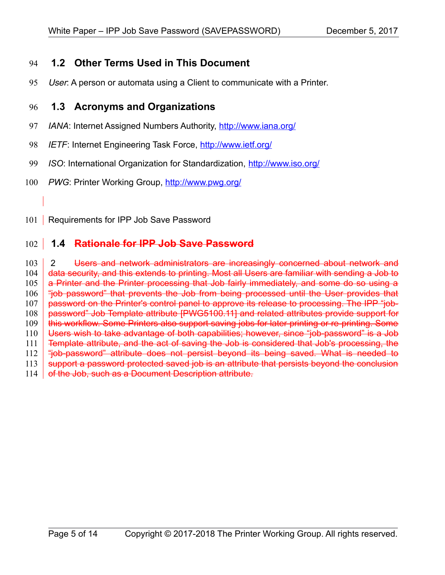#### **1.2 Other Terms Used in This Document** 94

User: A person or automata using a Client to communicate with a Printer. 95

#### **1.3 Acronyms and Organizations** 96

- *IANA*: Internet Assigned Numbers Authority,<http://www.iana.org/> 97
- *IETF*: Internet Engineering Task Force,<http://www.ietf.org/> 98
- *ISO*: International Organization for Standardization,<http://www.iso.org/> 99
- *PWG*: Printer Working Group,<http://www.pwg.org/> 100
- 101 | Requirements for IPP Job Save Password

#### **1.4 Rationale for IPP Job Save Password** 102

2 Users and network administrators are increasingly concerned about network and data security, and this extends to printing. Most all Users are familiar with sending a Job to a Printer and the Printer processing that Job fairly immediately, and some do so using a "job password" that prevents the Job from being processed until the User provides that password on the Printer's control panel to approve its release to processing. The IPP "jobpassword" Job Template attribute [\[PWG5100.11\]](#page-10-0) and related attributes provide support for this workflow. Some Printers also support saving jobs for later printing or re-printing. Some Users wish to take advantage of both capabilities; however, since "job-password" is a Job Template attribute, and the act of saving the Job is considered that Job's processing, the "job-password" attribute does not persist beyond its being saved. What is needed to support a password protected saved job is an attribute that persists beyond the conclusion of the Job, such as a Document Description attribute. 103 104 105 106 107 108 109 110 111 112 113 114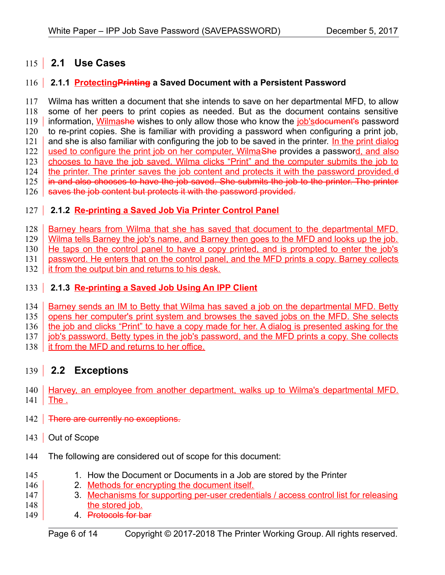# **2.1 Use Cases** 115

#### **2.1.1 ProtectingPrinting a Saved Document with a Persistent Password**  $116$

Wilma has written a document that she intends to save on her departmental MFD, to allow some of her peers to print copies as needed. But as the document contains sensitive information, Wilmashe wishes to only allow those who know the job's document's password to re-print copies. She is familiar with providing a password when configuring a print job, and she is also familiar with configuring the job to be saved in the printer. In the print dialog used to configure the print job on her computer, WilmaShe provides a password, and also chooses to have the job saved. Wilma clicks "Print" and the computer submits the job to the printer. The printer saves the job content and protects it with the password provided.  $d$ in and also chooses to have the job saved. She submits the job to the printer. The printer saves the job content but protects it with the password provided. 117 118 119 120 121 122 123 124 125 126

## 127 | **2.1.2 Re-printing a Saved Job Via Printer Control Panel**

Barney hears from Wilma that she has saved that document to the departmental MFD. 128

Wilma tells Barney the job's name, and Barney then goes to the MFD and looks up the job. 129

He taps on the control panel to have a copy printed, and is prompted to enter the job's 130

password. He enters that on the control panel, and the MFD prints a copy. Barney collects 131

it from the output bin and returns to his desk. 132

## 133 2.1.3 Re-printing a Saved Job Using An IPP Client

Barney sends an IM to Betty that Wilma has saved a job on the departmental MFD. Betty 134

opens her computer's print system and browses the saved jobs on the MFD. She selects 135

the job and clicks "Print" to have a copy made for her. A dialog is presented asking for the 136

- job's password. Betty types in the job's password, and the MFD prints a copy. She collects 137
- it from the MFD and returns to her office. 138

#### **2.2 Exceptions** 139

140 | Harvey, an employee from another department, walks up to Wilma's departmental MFD. The . 141

- 142 **There are currently no exceptions.**
- 143 | Out of Scope
- The following are considered out of scope for this document: 144
- 1. How the Document or Documents in a Job are stored by the Printer 2. Methods for encrypting the document itself. 3. Mechanisms for supporting per-user credentials / access control list for releasing the stored job. 145 146 147 148
- 4. Protocols for bar 149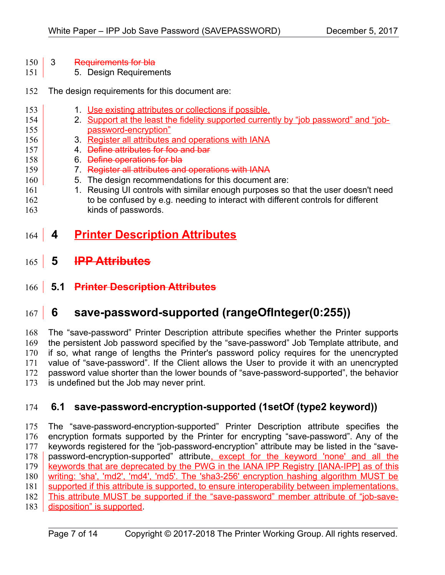- 3 Requirements for bla 150
- 5. Design Requirements 151
- The design requirements for this document are: 152
- 1. Use existing attributes or collections if possible. 2. Support at the least the fidelity supported currently by "job password" and "jobpassword-encryption" 3. Register all attributes and operations with IANA 4. Define attributes for foo and bar 6. Define operations for bla 7. Register all attributes and operations with IANA 5. The design recommendations for this document are: 1. Reusing UI controls with similar enough purposes so that the user doesn't need to be confused by e.g. needing to interact with different controls for different 153 154 155 156 157 158 159 160 161 162
- kinds of passwords. 163
- **4 Printer Description Attributes** 164
- **5 IPP Attributes** 165
- **5.1 Printer Description Attributes** 166

### **6 save-password-supported (rangeOfInteger(0:255))** 167

The "save-password" Printer Description attribute specifies whether the Printer supports the persistent Job password specified by the "save-password" Job Template attribute, and if so, what range of lengths the Printer's password policy requires for the unencrypted value of "save-password". If the Client allows the User to provide it with an unencrypted password value shorter than the lower bounds of "save-password-supported", the behavior is undefined but the Job may never print. 168 169 170 171 172 173

#### **6.1 save-password-encryption-supported (1setOf (type2 keyword))** 174

The "save-password-encryption-supported" Printer Description attribute specifies the encryption formats supported by the Printer for encrypting "save-password". Any of the keywords registered for the "job-password-encryption" attribute may be listed in the "savepassword-encryption-supported" attribute, except for the keyword 'none' and all the keywords that are deprecated by the PWG in the IANA IPP Registry [\[IANA-IPP\]](#page-12-0) as of this writing: 'sha', 'md2', 'md4', 'md5'. The 'sha3-256' encryption hashing algorithm MUST be supported if this attribute is supported, to ensure interoperability between implementations. This attribute MUST be supported if the "save-password" member attribute of "job-savedisposition" is supported. 175 176 177 178 179 180 181 182 183

Page 7 of 14 Copyright © 2017-2018 The Printer Working Group. All rights reserved.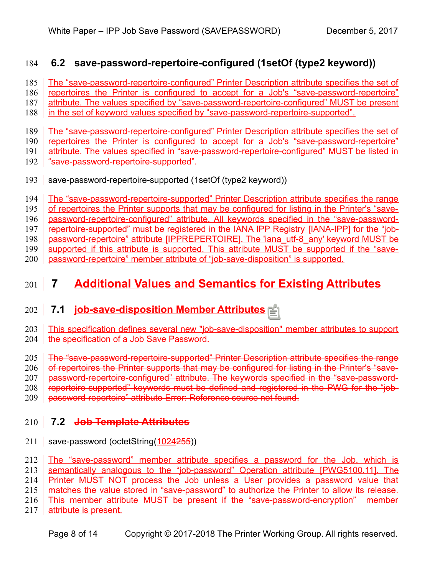#### **6.2 save-password-repertoire-configured (1setOf (type2 keyword))** 184

The "save-password-repertoire-configured" Printer Description attribute specifies the set of 185

repertoires the Printer is configured to accept for a Job's "save-password-repertoire" 186

attribute. The values specified by "save-password-repertoire-configured" MUST be present 187

in the set of keyword values specified by "save-password-repertoire-supported". 188

The "save-password-repertoire-configured" Printer Description attribute specifies the set of 189

repertoires the Printer is configured to accept for a Job's "save-password-repertoire" 190

attribute. The values specified in "save-password-repertoire-configured" MUST be listed in 191

- "save-password-repertoire-supported". 192
- save-password-repertoire-supported (1setOf (type2 keyword)) 193

The "save-password-repertoire-supported" Printer Description attribute specifies the range 194

of repertoires the Printer supports that may be configured for listing in the Printer's "save-195

password-repertoire-configured" attribute. All keywords specified in the "save-password-196

repertoire-supported" must be registered in the IANA IPP Registry [\[IANA-IPP\]](#page-12-0) for the "job-password-repertoire" attribute [\[IPPREPERTOIRE\].](#page-10-1) The 'iana\_utf-8\_any' keyword MUST be 197 198

supported if this attribute is supported. This attribute MUST be supported if the "save-199

password-repertoire" member attribute of "job-save-disposition" is supported. 200

## **Additional Values and Semantics for Existing Attributes**  $201$  7

## **7.1 job-save-disposition Member Attributes** 202

This specification defines several new "job-save-disposition" member attributes to support the specification of a Job Save Password. 203 204

The "save-password-repertoire-supported" Printer Description attribute specifies the range 205

of repertoires the Printer supports that may be configured for listing in the Printer's "save-206

password-repertoire-configured" attribute. The keywords specified in the "save-password-207

repertoire-supported" keywords must be defined and registered in the PWG for the "job-208

password-repertoire" attribute [Error: Reference source not found.](#page-7-0) 209

# <span id="page-7-0"></span> **7.2 Job Template Attributes** 210

211 | save-password (octetString(1024255))

The "save-password" member attribute specifies a password for the Job, which is 212

semantically analogous to the "job-password" Operation attribute [\[PWG5100.11\].](#page-10-0) The 213

Printer MUST NOT process the Job unless a User provides a password value that 214

matches the value stored in "save-password" to authorize the Printer to allow its release. 215

This member attribute MUST be present if the "save-password-encryption" member 216

attribute is present. 217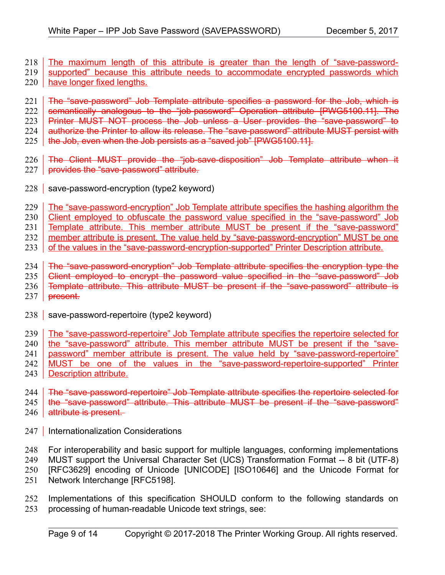- The maximum length of this attribute is greater than the length of "save-passwordsupported" because this attribute needs to accommodate encrypted passwords which 218 219
- have longer fixed lengths. 220
- The "save-password" Job Template attribute specifies a password for the Job, which is 221
- semantically analogous to the "job-password" Operation attribute [\[PWG5100.11\].](#page-10-0) The Printer MUST NOT process the Job unless a User provides the "save-password" to 222 223
- authorize the Printer to allow its release. The "save-password" attribute MUST persist with 224
- 
- the Job, even when the Job persists as a "saved job" [\[PWG5100.11\].](#page-10-0) 225
- The Client MUST provide the "job-save-disposition" Job Template attribute when it 226
- provides the "save-password" attribute. 227
- 228 save-password-encryption (type2 keyword)
- The "save-password-encryption" Job Template attribute specifies the hashing algorithm the 229
- Client employed to obfuscate the password value specified in the "save-password" Job 230
- Template attribute. This member attribute MUST be present if the "save-password" 231
- member attribute is present. The value held by "save-password-encryption" MUST be one 232
- of the values in the "save-password-encryption-supported" Printer Description attribute. 233
- The "save-password-encryption" Job Template attribute specifies the encryption type the 234
- Client employed to encrypt the password value specified in the "save-password" Job 235
- Template attribute. This attribute MUST be present if the "save-password" attribute is 236
- present. 237
- 238 | save-password-repertoire (type2 keyword)
- The "save-password-repertoire" Job Template attribute specifies the repertoire selected for 239
- the "save-password" attribute. This member attribute MUST be present if the "save-240
- password" member attribute is present. The value held by "save-password-repertoire" 241
- MUST be one of the values in the "save-password-repertoire-supported" Printer 242
- Description attribute. 243
- The "save-password-repertoire" Job Template attribute specifies the repertoire selected for 244
- the "save-password" attribute. This attribute MUST be present if the "save-password" attribute is present. 245 246
- Internationalization Considerations 247
- For interoperability and basic support for multiple languages, conforming implementations 248
- MUST support the Universal Character Set (UCS) Transformation Format -- 8 bit (UTF-8) 249
- [RFC3629] encoding of Unicode [\[UNICODE\]](#page-11-2) [\[ISO10646\]](#page-10-2) and the Unicode Format for 250
- Network Interchange [\[RFC5198\].](#page-11-1) 251
- Implementations of this specification SHOULD conform to the following standards on processing of human-readable Unicode text strings, see: 252 253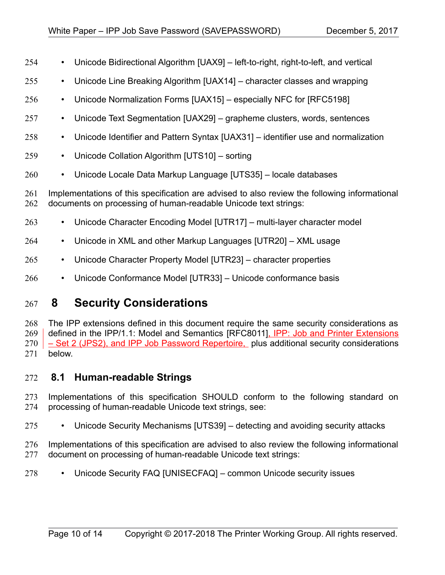- Unicode Bidirectional Algorithm [\[UAX9\]](#page-11-11)  left-to-right, right-to-left, and vertical 254
- Unicode Line Breaking Algorithm [\[UAX14\]](#page-11-10)  character classes and wrapping 255
- Unicode Normalization Forms [\[UAX15\]](#page-11-9)  especially NFC for [\[RFC5198\]](#page-11-1) 256
- Unicode Text Segmentation [\[UAX29\]](#page-11-8)  grapheme clusters, words, sentences 257
- Unicode Identifier and Pattern Syntax [\[UAX31\]](#page-11-7)  identifier use and normalization 258
- Unicode Collation Algorithm [\[UTS10\]](#page-11-6)  sorting 259
- Unicode Locale Data Markup Language [\[UTS35\]](#page-11-5)  locale databases 260

Implementations of this specification are advised to also review the following informational documents on processing of human-readable Unicode text strings: 261 262

- Unicode Character Encoding Model [\[UTR17\]](#page-12-5)  multi-layer character model 263
- Unicode in XML and other Markup Languages [\[UTR20\]](#page-12-4)  XML usage 264
- Unicode Character Property Model [\[UTR23\]](#page-12-3)  character properties 265
- Unicode Conformance Model [\[UTR33\]](#page-12-2)  Unicode conformance basis 266

### **8 Security Considerations** 267

The IPP extensions defined in this document require the same security considerations as defined in the IPP/1.1: Model and Semantics [\[RFC8011\],](#page-11-4) IPP: Job and Printer Extensions – Set 2 (JPS2), and IPP Job Password Repertoire, plus additional security considerations below. 268 269 270 271

#### **8.1 Human-readable Strings**  272

- Implementations of this specification SHOULD conform to the following standard on processing of human-readable Unicode text strings, see: 273 274
- Unicode Security Mechanisms [\[UTS39\]](#page-11-3)  detecting and avoiding security attacks 275

Implementations of this specification are advised to also review the following informational document on processing of human-readable Unicode text strings: 276 277

• Unicode Security FAQ [\[UNISECFAQ\]](#page-12-1) – common Unicode security issues 278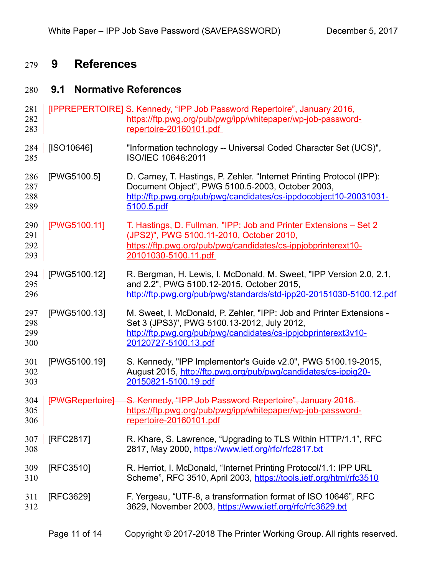### **9 References** 279

#### **9.1 Normative References** 280

<span id="page-10-2"></span><span id="page-10-1"></span><span id="page-10-0"></span>

| 281<br>282<br>283        |                 | [IPPREPERTOIRE] S. Kennedy, "IPP Job Password Repertoire", January 2016,<br>https://ftp.pwg.org/pub/pwg/ipp/whitepaper/wp-job-password-<br>repertoire-20160101.pdf                                            |
|--------------------------|-----------------|---------------------------------------------------------------------------------------------------------------------------------------------------------------------------------------------------------------|
| 284<br>285               | [ISO10646]      | "Information technology -- Universal Coded Character Set (UCS)",<br>ISO/IEC 10646:2011                                                                                                                        |
| 286<br>287<br>288<br>289 | [PWG5100.5]     | D. Carney, T. Hastings, P. Zehler. "Internet Printing Protocol (IPP):<br>Document Object", PWG 5100.5-2003, October 2003,<br>http://ftp.pwg.org/pub/pwg/candidates/cs-ippdocobject10-20031031-<br>5100.5.pdf  |
| 290<br>291<br>292<br>293 | [PWG5100.11]    | <u>T. Hastings, D. Fullman, "IPP: Job and Printer Extensions – Set 2</u><br>(JPS2)", PWG 5100.11-2010, October 2010,<br>https://ftp.pwg.org/pub/pwg/candidates/cs-ippjobprinterext10-<br>20101030-5100.11.pdf |
| 294<br>295<br>296        | [PWG5100.12]    | R. Bergman, H. Lewis, I. McDonald, M. Sweet, "IPP Version 2.0, 2.1,<br>and 2.2", PWG 5100.12-2015, October 2015,<br>http://ftp.pwg.org/pub/pwg/standards/std-ipp20-20151030-5100.12.pdf                       |
| 297<br>298<br>299<br>300 | [PWG5100.13]    | M. Sweet, I. McDonald, P. Zehler, "IPP: Job and Printer Extensions -<br>Set 3 (JPS3)", PWG 5100.13-2012, July 2012,<br>http://ftp.pwg.org/pub/pwg/candidates/cs-ippjobprinterext3v10-<br>20120727-5100.13.pdf |
| 301<br>302<br>303        | [PWG5100.19]    | S. Kennedy, "IPP Implementor's Guide v2.0", PWG 5100.19-2015,<br>August 2015, http://ftp.pwg.org/pub/pwg/candidates/cs-ippig20-<br>20150821-5100.19.pdf                                                       |
| 304<br>305<br>306        | [PWGRepertoire] | S. Kennedy, "IPP Job Password Repertoire", January 2016.<br>https://ftp.pwg.org/pub/pwg/ipp/whitepaper/wp-job-password-<br>repertoire-20160101.pdf                                                            |
| 307<br>308               | [RFC2817]       | R. Khare, S. Lawrence, "Upgrading to TLS Within HTTP/1.1", RFC<br>2817, May 2000, https://www.ietf.org/rfc/rfc2817.txt                                                                                        |
| 309<br>310               | [RFC3510]       | R. Herriot, I. McDonald, "Internet Printing Protocol/1.1: IPP URL<br>Scheme", RFC 3510, April 2003, https://tools.ietf.org/html/rfc3510                                                                       |
| 311<br>312               | [RFC3629]       | F. Yergeau, "UTF-8, a transformation format of ISO 10646", RFC<br>3629, November 2003, https://www.ietf.org/rfc/rfc3629.txt                                                                                   |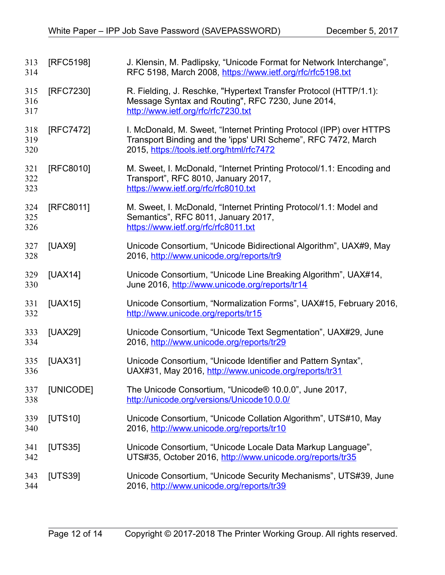<span id="page-11-11"></span><span id="page-11-10"></span><span id="page-11-9"></span><span id="page-11-8"></span><span id="page-11-7"></span><span id="page-11-6"></span><span id="page-11-5"></span><span id="page-11-4"></span><span id="page-11-3"></span><span id="page-11-2"></span><span id="page-11-1"></span><span id="page-11-0"></span>

| 313<br>314        | [RFC5198] | J. Klensin, M. Padlipsky, "Unicode Format for Network Interchange",<br>RFC 5198, March 2008, https://www.ietf.org/rfc/rfc5198.txt                                                 |
|-------------------|-----------|-----------------------------------------------------------------------------------------------------------------------------------------------------------------------------------|
| 315<br>316<br>317 | [RFC7230] | R. Fielding, J. Reschke, "Hypertext Transfer Protocol (HTTP/1.1):<br>Message Syntax and Routing", RFC 7230, June 2014,<br>http://www.ietf.org/rfc/rfc7230.txt                     |
| 318<br>319<br>320 | [RFC7472] | I. McDonald, M. Sweet, "Internet Printing Protocol (IPP) over HTTPS<br>Transport Binding and the 'ipps' URI Scheme", RFC 7472, March<br>2015, https://tools.ietf.org/html/rfc7472 |
| 321<br>322<br>323 | [RFC8010] | M. Sweet, I. McDonald, "Internet Printing Protocol/1.1: Encoding and<br>Transport", RFC 8010, January 2017,<br>https://www.ietf.org/rfc/rfc8010.txt                               |
| 324<br>325<br>326 | [RFC8011] | M. Sweet, I. McDonald, "Internet Printing Protocol/1.1: Model and<br>Semantics", RFC 8011, January 2017,<br>https://www.ietf.org/rfc/rfc8011.txt                                  |
| 327<br>328        | [UAX9]    | Unicode Consortium, "Unicode Bidirectional Algorithm", UAX#9, May<br>2016, http://www.unicode.org/reports/tr9                                                                     |
| 329<br>330        | [UAX14]   | Unicode Consortium, "Unicode Line Breaking Algorithm", UAX#14,<br>June 2016, http://www.unicode.org/reports/tr14                                                                  |
| 331<br>332        | [UAX15]   | Unicode Consortium, "Normalization Forms", UAX#15, February 2016,<br>http://www.unicode.org/reports/tr15                                                                          |
| 333<br>334        | [UAX29]   | Unicode Consortium, "Unicode Text Segmentation", UAX#29, June<br>2016, http://www.unicode.org/reports/tr29                                                                        |
| 335<br>336        | [UAX31]   | Unicode Consortium, "Unicode Identifier and Pattern Syntax",<br>UAX#31, May 2016, http://www.unicode.org/reports/tr31                                                             |
| 337<br>338        | [UNICODE] | The Unicode Consortium, "Unicode® 10.0.0", June 2017,<br>http://unicode.org/versions/Unicode10.0.0/                                                                               |
| 339<br>340        | [UTS10]   | Unicode Consortium, "Unicode Collation Algorithm", UTS#10, May<br>2016, http://www.unicode.org/reports/tr10                                                                       |
| 341<br>342        | [UTS35]   | Unicode Consortium, "Unicode Locale Data Markup Language",<br>UTS#35, October 2016, http://www.unicode.org/reports/tr35                                                           |
| 343<br>344        | [UTS39]   | Unicode Consortium, "Unicode Security Mechanisms", UTS#39, June<br>2016, http://www.unicode.org/reports/tr39                                                                      |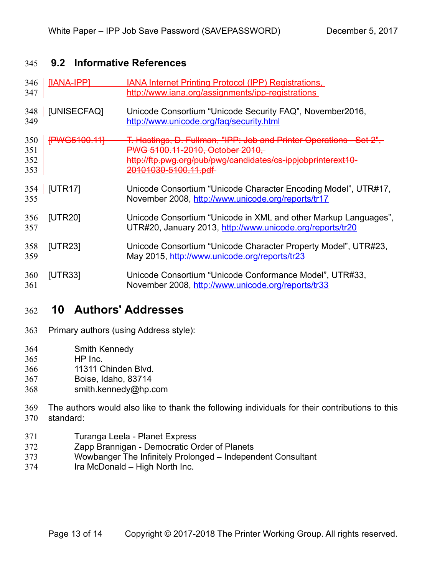#### **9.2 Informative References** 345

<span id="page-12-5"></span><span id="page-12-1"></span><span id="page-12-0"></span>

| 346<br>347               | [IANA-IPP]          | <b>IANA Internet Printing Protocol (IPP) Registrations,</b><br>http://www.iana.org/assignments/ipp-registrations                                                                                          |
|--------------------------|---------------------|-----------------------------------------------------------------------------------------------------------------------------------------------------------------------------------------------------------|
| 348<br>349               | [UNISECFAQ]         | Unicode Consortium "Unicode Security FAQ", November2016,<br>http://www.unicode.org/fag/security.html                                                                                                      |
| 350<br>351<br>352<br>353 | <b>FPWG5100.111</b> | T. Hastings, D. Fullman, "IPP: Job and Printer Operations - Set 2",<br>PWG 5100.11-2010, October 2010,<br>http://ftp.pwg.org/pub/pwg/candidates/cs-ippjobprinterext10-<br><del>20101030-5100.11.pdf</del> |
| 354<br>355               | <b>[UTR17]</b>      | Unicode Consortium "Unicode Character Encoding Model", UTR#17,<br>November 2008, http://www.unicode.org/reports/tr17                                                                                      |
| 356<br>357               | [UTR20]             | Unicode Consortium "Unicode in XML and other Markup Languages",<br>UTR#20, January 2013, http://www.unicode.org/reports/tr20                                                                              |
| 358<br>359               | [UTR23]             | Unicode Consortium "Unicode Character Property Model", UTR#23,<br>May 2015, http://www.unicode.org/reports/tr23                                                                                           |
| 360<br>361               | [UTR33]             | Unicode Consortium "Unicode Conformance Model", UTR#33,<br>November 2008, http://www.unicode.org/reports/tr33                                                                                             |

#### <span id="page-12-4"></span><span id="page-12-3"></span><span id="page-12-2"></span> **10 Authors' Addresses** 362

- Primary authors (using Address style): 363
- Smith Kennedy 364
- HP Inc. 365
- 11311 Chinden Blvd. 366
- Boise, Idaho, 83714 367
- smith.kennedy@hp.com 368
- The authors would also like to thank the following individuals for their contributions to this standard: 369 370
- Turanga Leela Planet Express 371
- Zapp Brannigan Democratic Order of Planets 372
- Wowbanger The Infinitely Prolonged Independent Consultant 373
- Ira McDonald High North Inc. 374